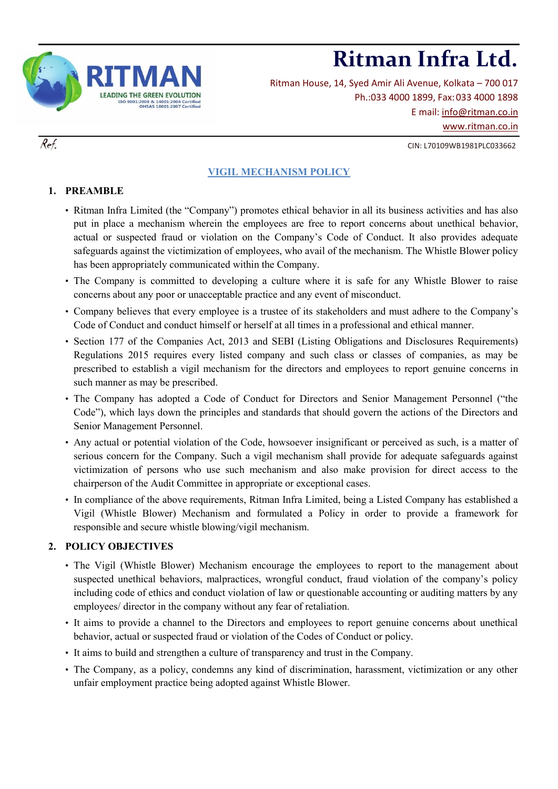

Ritman House, 14, Syed Amir Ali Avenue, Kolkata – 700 017 Ph.:033 4000 1899, Fax:033 4000 1898 E mail: [info@ritman.co.in](mailto:info@ritman.co.in) [www.ritman.co.in](http://www.ritman.co.in/)

## $Ref.$  CIN: L70109WB1981PLC033662

# **VIGIL MECHANISM POLICY**

## **1. PREAMBLE**

- Ritman Infra Limited (the "Company") promotes ethical behavior in all its business activities and has also put in place a mechanism wherein the employees are free to report concerns about unethical behavior, actual or suspected fraud or violation on the Company's Code of Conduct. It also provides adequate safeguards against the victimization of employees, who avail of the mechanism. The Whistle Blower policy has been appropriately communicated within the Company.
- The Company is committed to developing a culture where it is safe for any Whistle Blower to raise concerns about any poor or unacceptable practice and any event of misconduct.
- Company believes that every employee is a trustee of its stakeholders and must adhere to the Company's Code of Conduct and conduct himself or herself at all times in a professional and ethical manner.
- Section 177 of the Companies Act, 2013 and SEBI (Listing Obligations and Disclosures Requirements) Regulations 2015 requires every listed company and such class or classes of companies, as may be prescribed to establish a vigil mechanism for the directors and employees to report genuine concerns in such manner as may be prescribed.
- The Company has adopted a Code of Conduct for Directors and Senior Management Personnel ("the Code"), which lays down the principles and standards that should govern the actions of the Directors and Senior Management Personnel.
- Any actual or potential violation of the Code, howsoever insignificant or perceived as such, is a matter of serious concern for the Company. Such a vigil mechanism shall provide for adequate safeguards against victimization of persons who use such mechanism and also make provision for direct access to the chairperson of the Audit Committee in appropriate or exceptional cases.
- In compliance of the above requirements, Ritman Infra Limited, being a Listed Company has established a Vigil (Whistle Blower) Mechanism and formulated a Policy in order to provide a framework for responsible and secure whistle blowing/vigil mechanism.

# **2. POLICY OBJECTIVES**

- The Vigil (Whistle Blower) Mechanism encourage the employees to report to the management about suspected unethical behaviors, malpractices, wrongful conduct, fraud violation of the company's policy including code of ethics and conduct violation of law or questionable accounting or auditing matters by any employees/ director in the company without any fear of retaliation.
- It aims to provide a channel to the Directors and employees to report genuine concerns about unethical behavior, actual or suspected fraud or violation of the Codes of Conduct or policy.
- It aims to build and strengthen a culture of transparency and trust in the Company.
- The Company, as a policy, condemns any kind of discrimination, harassment, victimization or any other unfair employment practice being adopted against Whistle Blower.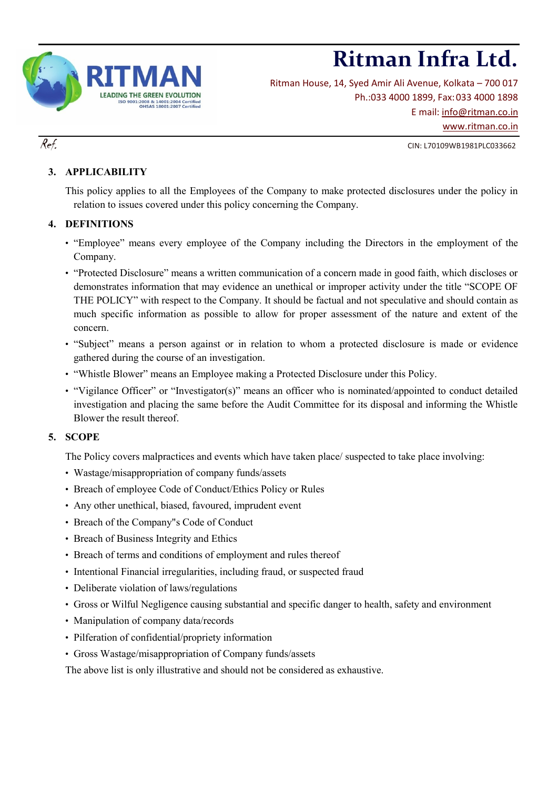

Ritman House, 14, Syed Amir Ali Avenue, Kolkata – 700 017 Ph.:033 4000 1899, Fax:033 4000 1898 E mail: [info@ritman.co.in](mailto:info@ritman.co.in) [www.ritman.co.in](http://www.ritman.co.in/)

# $Ref.$  CIN: L70109WB1981PLC033662

# **3. APPLICABILITY**

This policy applies to all the Employees of the Company to make protected disclosures under the policy in relation to issues covered under this policy concerning the Company.

### **4. DEFINITIONS**

- "Employee" means every employee of the Company including the Directors in the employment of the Company.
- "Protected Disclosure" means a written communication of a concern made in good faith, which discloses or demonstrates information that may evidence an unethical or improper activity under the title "SCOPE OF THE POLICY" with respect to the Company. It should be factual and not speculative and should contain as much specific information as possible to allow for proper assessment of the nature and extent of the concern.
- "Subject" means a person against or in relation to whom a protected disclosure is made or evidence gathered during the course of an investigation.
- "Whistle Blower" means an Employee making a Protected Disclosure under this Policy.
- "Vigilance Officer" or "Investigator(s)" means an officer who is nominated/appointed to conduct detailed investigation and placing the same before the Audit Committee for its disposal and informing the Whistle Blower the result thereof.

### **5. SCOPE**

The Policy covers malpractices and events which have taken place/ suspected to take place involving:

- Wastage/misappropriation of company funds/assets
- Breach of employee Code of Conduct/Ethics Policy or Rules
- Any other unethical, biased, favoured, imprudent event
- Breach of the Company"s Code of Conduct
- Breach of Business Integrity and Ethics
- Breach of terms and conditions of employment and rules thereof
- Intentional Financial irregularities, including fraud, or suspected fraud
- Deliberate violation of laws/regulations
- Gross or Wilful Negligence causing substantial and specific danger to health, safety and environment
- Manipulation of company data/records
- Pilferation of confidential/propriety information
- Gross Wastage/misappropriation of Company funds/assets

The above list is only illustrative and should not be considered as exhaustive.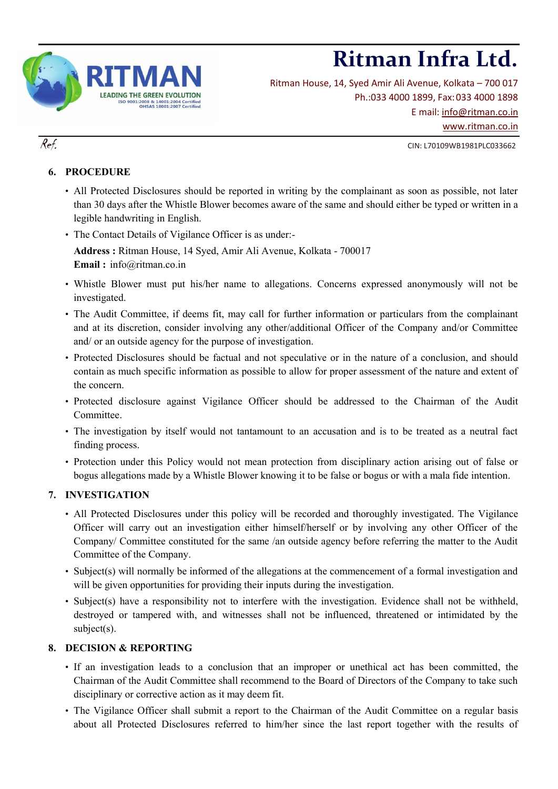

Ritman House, 14, Syed Amir Ali Avenue, Kolkata – 700 017 Ph.:033 4000 1899, Fax:033 4000 1898 E mail: [info@ritman.co.in](mailto:info@ritman.co.in) [www.ritman.co.in](http://www.ritman.co.in/)

 $Ref.$  CIN: L70109WB1981PLC033662

# **6. PROCEDURE**

- All Protected Disclosures should be reported in writing by the complainant as soon as possible, not later than 30 days after the Whistle Blower becomes aware of the same and should either be typed or written in a legible handwriting in English.
- The Contact Details of Vigilance Officer is as under:-

**Address :** Ritman House, 14 Syed, Amir Ali Avenue, Kolkata - 700017 **Email :** info@ritman.co.in

- Whistle Blower must put his/her name to allegations. Concerns expressed anonymously will not be investigated.
- The Audit Committee, if deems fit, may call for further information or particulars from the complainant and at its discretion, consider involving any other/additional Officer of the Company and/or Committee and/ or an outside agency for the purpose of investigation.
- Protected Disclosures should be factual and not speculative or in the nature of a conclusion, and should contain as much specific information as possible to allow for proper assessment of the nature and extent of the concern.
- Protected disclosure against Vigilance Officer should be addressed to the Chairman of the Audit Committee.
- The investigation by itself would not tantamount to an accusation and is to be treated as a neutral fact finding process.
- Protection under this Policy would not mean protection from disciplinary action arising out of false or bogus allegations made by a Whistle Blower knowing it to be false or bogus or with a mala fide intention.

### **7. INVESTIGATION**

- All Protected Disclosures under this policy will be recorded and thoroughly investigated. The Vigilance Officer will carry out an investigation either himself/herself or by involving any other Officer of the Company/ Committee constituted for the same /an outside agency before referring the matter to the Audit Committee of the Company.
- Subject(s) will normally be informed of the allegations at the commencement of a formal investigation and will be given opportunities for providing their inputs during the investigation.
- Subject(s) have a responsibility not to interfere with the investigation. Evidence shall not be withheld, destroyed or tampered with, and witnesses shall not be influenced, threatened or intimidated by the subject(s).

### **8. DECISION & REPORTING**

- If an investigation leads to a conclusion that an improper or unethical act has been committed, the Chairman of the Audit Committee shall recommend to the Board of Directors of the Company to take such disciplinary or corrective action as it may deem fit.
- The Vigilance Officer shall submit a report to the Chairman of the Audit Committee on a regular basis about all Protected Disclosures referred to him/her since the last report together with the results of